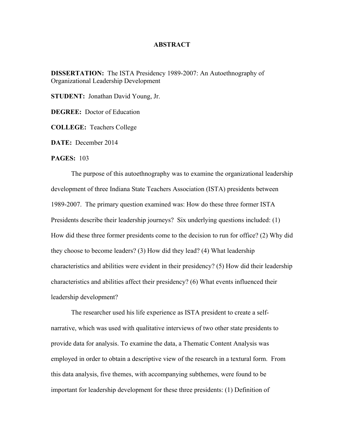## **ABSTRACT**

**DISSERTATION:** The ISTA Presidency 1989-2007: An Autoethnography of Organizational Leadership Development

**STUDENT:** Jonathan David Young, Jr.

**DEGREE:** Doctor of Education

**COLLEGE:** Teachers College

**DATE:** December 2014

## **PAGES:** 103

The purpose of this autoethnography was to examine the organizational leadership development of three Indiana State Teachers Association (ISTA) presidents between 1989-2007. The primary question examined was: How do these three former ISTA Presidents describe their leadership journeys? Six underlying questions included: (1) How did these three former presidents come to the decision to run for office? (2) Why did they choose to become leaders? (3) How did they lead? (4) What leadership characteristics and abilities were evident in their presidency? (5) How did their leadership characteristics and abilities affect their presidency? (6) What events influenced their leadership development?

The researcher used his life experience as ISTA president to create a selfnarrative, which was used with qualitative interviews of two other state presidents to provide data for analysis. To examine the data, a Thematic Content Analysis was employed in order to obtain a descriptive view of the research in a textural form. From this data analysis, five themes, with accompanying subthemes, were found to be important for leadership development for these three presidents: (1) Definition of